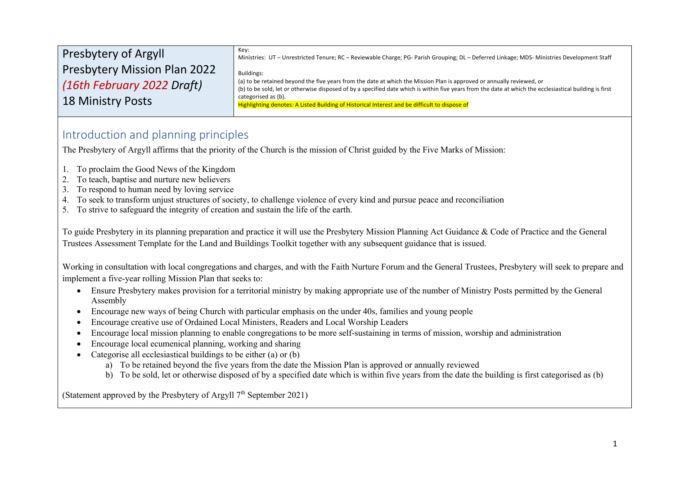| Key:<br>Ministries: UT - Unrestricted Tenure; RC - Reviewable Charge; PG- Parish Grouping; DL - Deferred Linkage; MDS- Ministries Development Staff                                                                                                                              |
|----------------------------------------------------------------------------------------------------------------------------------------------------------------------------------------------------------------------------------------------------------------------------------|
| Buildings:                                                                                                                                                                                                                                                                       |
| (a) to be retained beyond the five years from the date at which the Mission Plan is approved or annually reviewed, or<br>(b) to be sold, let or otherwise disposed of by a specified date which is within five years from the date at which the ecclesiastical building is first |
| categorised as (b).<br>Highlighting denotes: A Listed Building of Historical Interest and be difficult to dispose of                                                                                                                                                             |
|                                                                                                                                                                                                                                                                                  |

# Introduction and planning principles

The Presbytery of Argyll affirms that the priority of the Church is the mission of Christ guided by the Five Marks of Mission:

- 1. To proclaim the Good News of the Kingdom
- 2. To teach, baptise and nurture new believers
- 3. To respond to human need by loving service
- 4. To seek to transform unjust structures of society, to challenge violence of every kind and pursue peace and reconciliation
- 5. To strive to safeguard the integrity of creation and sustain the life of the earth.

To guide Presbytery in its planning preparation and practice it will use the Presbytery Mission Planning Act Guidance & Code of Practice and the General Trustees Assessment Template for the Land and Buildings Toolkit together with any subsequent guidance that is issued.

Working in consultation with local congregations and charges, and with the Faith Nurture Forum and the General Trustees, Presbytery will seek to prepare and implement a five-year rolling Mission Plan that seeks to:

- Ensure Presbytery makes provision for a territorial ministry by making appropriate use of the number of Ministry Posts permitted by the General Assembly
- Encourage new ways of being Church with particular emphasis on the under 40s, families and young people
- Encourage creative use of Ordained Local Ministers, Readers and Local Worship Leaders
- Encourage local mission planning to enable congregations to be more self-sustaining in terms of mission, worship and administration
- Encourage local ecumenical planning, working and sharing
- Categorise all ecclesiastical buildings to be either (a) or (b)
	- a) To be retained beyond the five years from the date the Mission Plan is approved or annually reviewed
	- b) To be sold, let or otherwise disposed of by a specified date which is within five years from the date the building is first categorised as (b)

(Statement approved by the Presbytery of Argyll  $7<sup>th</sup>$  September 2021)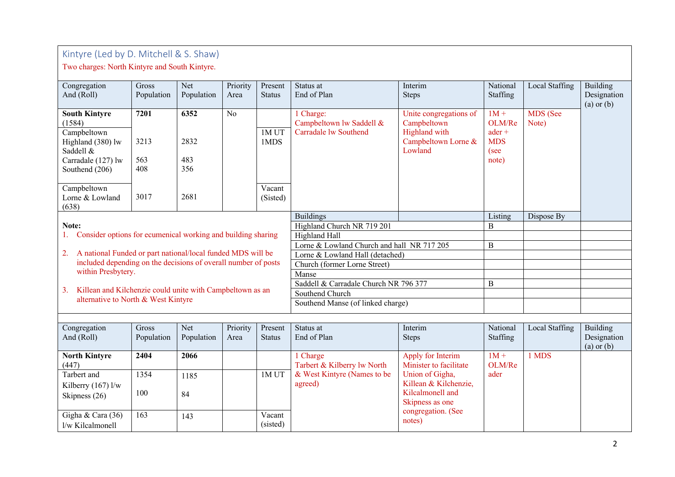# Kintyre (Led by D. Mitchell & S. Shaw)

Two charges: North Kintyre and South Kintyre.

| Congregation                                                    | Gross      | Net        | Priority       | Present       | Status at                                  | Interim                | National   | Local Staffing | Building       |
|-----------------------------------------------------------------|------------|------------|----------------|---------------|--------------------------------------------|------------------------|------------|----------------|----------------|
| And (Roll)                                                      | Population | Population | Area           | <b>Status</b> | End of Plan                                | <b>Steps</b>           | Staffing   |                | Designation    |
|                                                                 |            |            |                |               |                                            |                        |            |                | $(a)$ or $(b)$ |
| <b>South Kintyre</b>                                            | 7201       | 6352       | N <sub>o</sub> |               | 1 Charge:                                  | Unite congregations of | $1M +$     | MDS (See       |                |
| (1584)                                                          |            |            |                |               | Campbeltown lw Saddell &                   | Campbeltown            | OLM/Re     | Note)          |                |
| Campbeltown                                                     |            |            |                | 1MUT          | Carradale lw Southend                      | Highland with          | $ader +$   |                |                |
| Highland (380) lw                                               | 3213       | 2832       |                | 1MDS          |                                            | Campbeltown Lorne &    | <b>MDS</b> |                |                |
| Saddell &                                                       |            |            |                |               |                                            | Lowland                | (see       |                |                |
| Carradale (127) lw                                              | 563        | 483        |                |               |                                            |                        | note)      |                |                |
| Southend (206)                                                  | 408        | 356        |                |               |                                            |                        |            |                |                |
|                                                                 |            |            |                |               |                                            |                        |            |                |                |
| Campbeltown                                                     |            |            |                | Vacant        |                                            |                        |            |                |                |
| Lorne & Lowland                                                 | 3017       | 2681       |                | (Sisted)      |                                            |                        |            |                |                |
| (638)                                                           |            |            |                |               |                                            |                        |            |                |                |
|                                                                 |            |            |                |               | <b>Buildings</b>                           |                        | Listing    | Dispose By     |                |
| Note:                                                           |            |            |                |               | Highland Church NR 719 201                 | B                      |            |                |                |
| Consider options for ecumenical working and building sharing    |            |            |                |               | <b>Highland Hall</b>                       |                        |            |                |                |
|                                                                 |            |            |                |               | Lorne & Lowland Church and hall NR 717 205 |                        | B          |                |                |
| 2. A national Funded or part national/local funded MDS will be  |            |            |                |               | Lorne & Lowland Hall (detached)            |                        |            |                |                |
| included depending on the decisions of overall number of posts  |            |            |                |               | Church (former Lorne Street)               |                        |            |                |                |
| within Presbytery.                                              |            |            |                |               | Manse                                      |                        |            |                |                |
| Killean and Kilchenzie could unite with Campbeltown as an<br>3. |            |            |                |               | Saddell & Carradale Church NR 796 377      | B                      |            |                |                |
| alternative to North & West Kintyre                             |            |            |                |               | Southend Church                            |                        |            |                |                |
|                                                                 |            |            |                |               | Southend Manse (of linked charge)          |                        |            |                |                |
|                                                                 |            |            |                |               |                                            |                        |            |                |                |
| Congregation                                                    | Gross      | Net        | Priority       | Present       | Status at                                  | Interim                | National   | Local Staffing | Building       |
| And (Roll)                                                      | Population | Population | Area           | <b>Status</b> | End of Plan                                | <b>Steps</b>           | Staffing   |                | Designation    |
|                                                                 |            |            |                |               |                                            |                        |            |                | $(a)$ or $(b)$ |
| <b>North Kintyre</b>                                            | 2404       | 2066       |                |               | 1 Charge                                   | Apply for Interim      | $1M +$     | 1 MDS          |                |
| (447)                                                           |            |            |                |               | Tarbert & Kilberry lw North                | Minister to facilitate | OLM/Re     |                |                |
| Tarbert and                                                     | 1354       | 1185       |                | 1MUT          | & West Kintyre (Names to be                | Union of Gigha,        | ader       |                |                |
| Kilberry $(167)$ l/w                                            |            |            |                |               | agreed)                                    | Killean & Kilchenzie,  |            |                |                |
| Skipness (26)                                                   | 100        | 84         |                |               |                                            | Kilcalmonell and       |            |                |                |
|                                                                 |            |            |                |               |                                            | Skipness as one        |            |                |                |
| Gigha & Cara (36)                                               | 163        | 143        |                | Vacant        |                                            | congregation. (See     |            |                |                |
| l/w Kilcalmonell                                                |            |            |                | (sisted)      |                                            | notes)                 |            |                |                |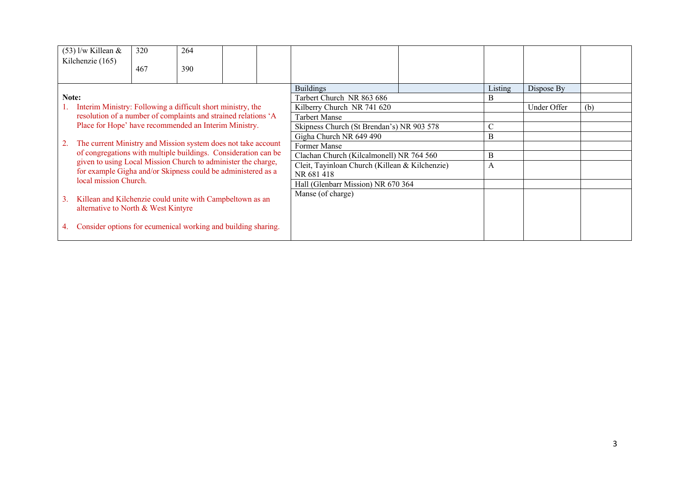| $(53)$ l/w Killean &                                                                                                          | 320 | 264 |  |                                                |               |             |     |
|-------------------------------------------------------------------------------------------------------------------------------|-----|-----|--|------------------------------------------------|---------------|-------------|-----|
| Kilchenzie (165)                                                                                                              | 467 | 390 |  |                                                |               |             |     |
|                                                                                                                               |     |     |  | <b>Buildings</b>                               | Listing       | Dispose By  |     |
| Note:                                                                                                                         |     |     |  | Tarbert Church NR 863 686                      | B             |             |     |
| Interim Ministry: Following a difficult short ministry, the                                                                   |     |     |  | Kilberry Church NR 741 620                     |               | Under Offer | (b) |
| resolution of a number of complaints and strained relations 'A                                                                |     |     |  | <b>Tarbert Manse</b>                           |               |             |     |
| Place for Hope' have recommended an Interim Ministry.                                                                         |     |     |  | Skipness Church (St Brendan's) NR 903 578      | $\mathcal{C}$ |             |     |
|                                                                                                                               |     |     |  | Gigha Church NR 649 490                        | B             |             |     |
| The current Ministry and Mission system does not take account                                                                 |     |     |  | Former Manse                                   |               |             |     |
| of congregations with multiple buildings. Consideration can be                                                                |     |     |  | Clachan Church (Kilcalmonell) NR 764 560       | B             |             |     |
| given to using Local Mission Church to administer the charge,<br>for example Gigha and/or Skipness could be administered as a |     |     |  | Cleit, Tayinloan Church (Killean & Kilchenzie) | A             |             |     |
| local mission Church.                                                                                                         |     |     |  | NR 681 418                                     |               |             |     |
|                                                                                                                               |     |     |  | Hall (Glenbarr Mission) NR 670 364             |               |             |     |
| Killean and Kilchenzie could unite with Campbeltown as an<br>3.<br>alternative to North & West Kintyre                        |     |     |  | Manse (of charge)                              |               |             |     |
| Consider options for ecumenical working and building sharing.                                                                 |     |     |  |                                                |               |             |     |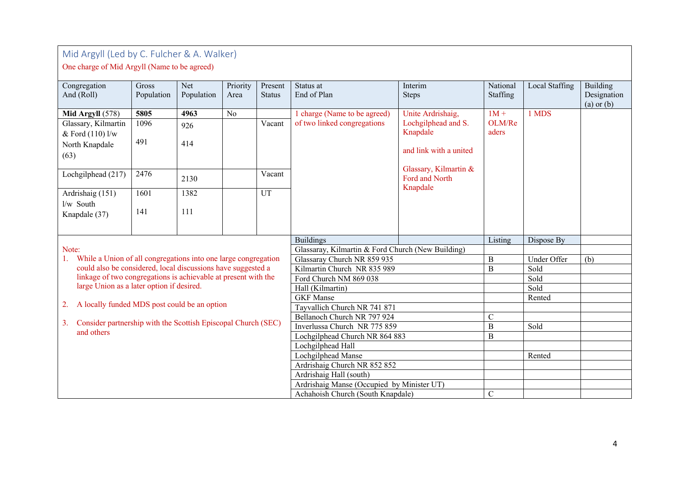# Mid Argyll (Led by C. Fulcher & A. Walker)

# One charge of Mid Argyll (Name to be agreed)

| Congregation                                                        | Gross      | Net        | Priority       | Present       | Status at                                         | Interim                | National       | Local Staffing | <b>Building</b> |
|---------------------------------------------------------------------|------------|------------|----------------|---------------|---------------------------------------------------|------------------------|----------------|----------------|-----------------|
| And (Roll)                                                          | Population | Population | Area           | <b>Status</b> | End of Plan                                       | <b>Steps</b>           | Staffing       |                | Designation     |
|                                                                     |            |            |                |               |                                                   |                        |                |                | $(a)$ or $(b)$  |
| Mid Argyll (578)                                                    | 5805       | 4963       | N <sub>o</sub> |               | 1 charge (Name to be agreed)                      | Unite Ardrishaig,      | $1M +$         | 1 MDS          |                 |
| Glassary, Kilmartin                                                 | 1096       | 926        |                | Vacant        | of two linked congregations                       | Lochgilphead and S.    | OLM/Re         |                |                 |
| & Ford (110) l/w                                                    |            |            |                |               |                                                   | Knapdale               | aders          |                |                 |
| North Knapdale                                                      | 491        | 414        |                |               |                                                   |                        |                |                |                 |
| (63)                                                                |            |            |                |               |                                                   | and link with a united |                |                |                 |
|                                                                     |            |            |                |               |                                                   |                        |                |                |                 |
| Lochgilphead (217)                                                  | 2476       |            |                | Vacant        |                                                   | Glassary, Kilmartin &  |                |                |                 |
|                                                                     |            | 2130       |                |               |                                                   | Ford and North         |                |                |                 |
| Ardrishaig (151)                                                    | 1601       | 1382       |                | UT            |                                                   | Knapdale               |                |                |                 |
| 1/w South                                                           |            |            |                |               |                                                   |                        |                |                |                 |
|                                                                     | 141        | 111        |                |               |                                                   |                        |                |                |                 |
| Knapdale (37)                                                       |            |            |                |               |                                                   |                        |                |                |                 |
|                                                                     |            |            |                |               |                                                   |                        |                |                |                 |
|                                                                     |            |            |                |               | <b>Buildings</b>                                  |                        | Listing        | Dispose By     |                 |
| Note:                                                               |            |            |                |               | Glassaray, Kilmartin & Ford Church (New Building) |                        |                |                |                 |
| While a Union of all congregations into one large congregation      |            |            |                |               | Glassaray Church NR 859 935                       | $\, {\bf B}$           | Under Offer    | (b)            |                 |
| could also be considered, local discussions have suggested a        |            |            |                |               | Kilmartin Church NR 835 989                       |                        | B              | Sold           |                 |
| linkage of two congregations is achievable at present with the      |            |            |                |               | Ford Church NM 869 038                            |                        |                | Sold           |                 |
| large Union as a later option if desired.                           |            |            |                |               | Hall (Kilmartin)                                  |                        |                | Sold           |                 |
|                                                                     |            |            |                |               | <b>GKF</b> Manse                                  |                        |                | Rented         |                 |
| A locally funded MDS post could be an option<br>2.                  |            |            |                |               | Tayvallich Church NR 741 871                      |                        |                |                |                 |
|                                                                     |            |            |                |               | Bellanoch Church NR 797 924                       |                        | $\overline{C}$ |                |                 |
| Consider partnership with the Scottish Episcopal Church (SEC)<br>3. |            |            |                |               | Inverlussa Church NR 775 859                      |                        | $\, {\bf B}$   | Sold           |                 |
| and others                                                          |            |            |                |               | Lochgilphead Church NR 864 883                    |                        | B              |                |                 |
|                                                                     |            |            |                |               | Lochgilphead Hall                                 |                        |                |                |                 |
|                                                                     |            |            |                |               | Lochgilphead Manse                                |                        |                | Rented         |                 |
|                                                                     |            |            |                |               | Ardrishaig Church NR 852 852                      |                        |                |                |                 |
|                                                                     |            |            |                |               | Ardrishaig Hall (south)                           |                        |                |                |                 |
|                                                                     |            |            |                |               | Ardrishaig Manse (Occupied by Minister UT)        |                        |                |                |                 |
|                                                                     |            |            |                |               | Achahoish Church (South Knapdale)                 |                        | $\mathsf{C}$   |                |                 |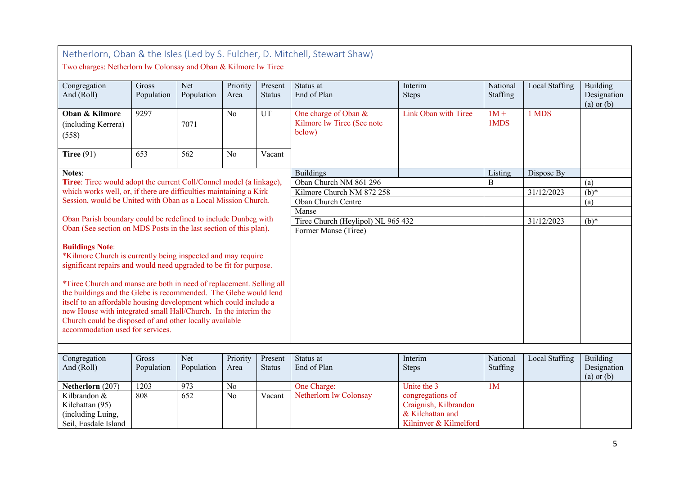|                                                                                                                                                                                                                                                                                                                                                                                                                                                                                                                                                 | Netherlorn, Oban & the Isles (Led by S. Fulcher, D. Mitchell, Stewart Shaw)<br>Two charges: Netherlorn lw Colonsay and Oban & Kilmore lw Tiree |                   |                  |                          |                                                              |                                                                                         |                      |                |                                           |  |  |  |  |
|-------------------------------------------------------------------------------------------------------------------------------------------------------------------------------------------------------------------------------------------------------------------------------------------------------------------------------------------------------------------------------------------------------------------------------------------------------------------------------------------------------------------------------------------------|------------------------------------------------------------------------------------------------------------------------------------------------|-------------------|------------------|--------------------------|--------------------------------------------------------------|-----------------------------------------------------------------------------------------|----------------------|----------------|-------------------------------------------|--|--|--|--|
| Congregation<br>And (Roll)                                                                                                                                                                                                                                                                                                                                                                                                                                                                                                                      | Gross<br>Population                                                                                                                            | Net<br>Population | Priority<br>Area | Present<br><b>Status</b> | Status at<br>End of Plan                                     | Interim<br><b>Steps</b>                                                                 | National<br>Staffing | Local Staffing | Building<br>Designation<br>$(a)$ or $(b)$ |  |  |  |  |
| Oban & Kilmore<br>(including Kerrera)<br>(558)                                                                                                                                                                                                                                                                                                                                                                                                                                                                                                  | 9297                                                                                                                                           | 7071              | No               | UT                       | One charge of Oban &<br>Kilmore lw Tiree (See note<br>below) | Link Oban with Tiree                                                                    | $1M +$<br>1MDS       | 1 MDS          |                                           |  |  |  |  |
| Tiree $(91)$                                                                                                                                                                                                                                                                                                                                                                                                                                                                                                                                    | 653                                                                                                                                            | 562               | N <sub>o</sub>   | Vacant                   |                                                              |                                                                                         |                      |                |                                           |  |  |  |  |
| <b>Notes:</b>                                                                                                                                                                                                                                                                                                                                                                                                                                                                                                                                   |                                                                                                                                                |                   |                  |                          | <b>Buildings</b>                                             |                                                                                         | Listing              | Dispose By     |                                           |  |  |  |  |
| Tiree: Tiree would adopt the current Coll/Connel model (a linkage),                                                                                                                                                                                                                                                                                                                                                                                                                                                                             |                                                                                                                                                |                   |                  |                          | Oban Church NM 861 296                                       |                                                                                         | B                    |                | (a)                                       |  |  |  |  |
| which works well, or, if there are difficulties maintaining a Kirk                                                                                                                                                                                                                                                                                                                                                                                                                                                                              |                                                                                                                                                |                   |                  |                          | Kilmore Church NM 872 258                                    |                                                                                         |                      | 31/12/2023     | $\overline{(b)^*}$                        |  |  |  |  |
| Session, would be United with Oban as a Local Mission Church.                                                                                                                                                                                                                                                                                                                                                                                                                                                                                   |                                                                                                                                                |                   |                  |                          | Oban Church Centre                                           |                                                                                         |                      |                | (a)                                       |  |  |  |  |
|                                                                                                                                                                                                                                                                                                                                                                                                                                                                                                                                                 |                                                                                                                                                |                   |                  |                          | Manse                                                        |                                                                                         |                      |                |                                           |  |  |  |  |
| Oban Parish boundary could be redefined to include Dunbeg with                                                                                                                                                                                                                                                                                                                                                                                                                                                                                  |                                                                                                                                                |                   |                  |                          | Tiree Church (Heylipol) NL 965 432                           |                                                                                         |                      | 31/12/2023     | $(b)*$                                    |  |  |  |  |
| Oban (See section on MDS Posts in the last section of this plan).                                                                                                                                                                                                                                                                                                                                                                                                                                                                               |                                                                                                                                                |                   |                  |                          | Former Manse (Tiree)                                         |                                                                                         |                      |                |                                           |  |  |  |  |
| <b>Buildings Note:</b><br>*Kilmore Church is currently being inspected and may require<br>significant repairs and would need upgraded to be fit for purpose.<br>*Tiree Church and manse are both in need of replacement. Selling all<br>the buildings and the Glebe is recommended. The Glebe would lend<br>itself to an affordable housing development which could include a<br>new House with integrated small Hall/Church. In the interim the<br>Church could be disposed of and other locally available<br>accommodation used for services. |                                                                                                                                                |                   |                  |                          |                                                              |                                                                                         |                      |                |                                           |  |  |  |  |
| Congregation                                                                                                                                                                                                                                                                                                                                                                                                                                                                                                                                    | Gross                                                                                                                                          | Net               | Priority         | Present                  | Status at                                                    | Interim                                                                                 | National             | Local Staffing | Building                                  |  |  |  |  |
| And (Roll)                                                                                                                                                                                                                                                                                                                                                                                                                                                                                                                                      | Population                                                                                                                                     | Population        | Area             | <b>Status</b>            | End of Plan                                                  | <b>Steps</b>                                                                            | Staffing             |                | Designation<br>$(a)$ or $(b)$             |  |  |  |  |
| Netherlorn (207)                                                                                                                                                                                                                                                                                                                                                                                                                                                                                                                                | 1203                                                                                                                                           | 973               | N <sub>o</sub>   |                          | One Charge:                                                  | Unite the 3                                                                             | 1 <sub>M</sub>       |                |                                           |  |  |  |  |
| Kilbrandon &<br>Kilchattan (95)<br>(including Luing,<br>Seil, Easdale Island                                                                                                                                                                                                                                                                                                                                                                                                                                                                    | 808                                                                                                                                            | 652               | No               | Vacant                   | Netherlorn lw Colonsay                                       | congregations of<br>Craignish, Kilbrandon<br>& Kilchattan and<br>Kilninver & Kilmelford |                      |                |                                           |  |  |  |  |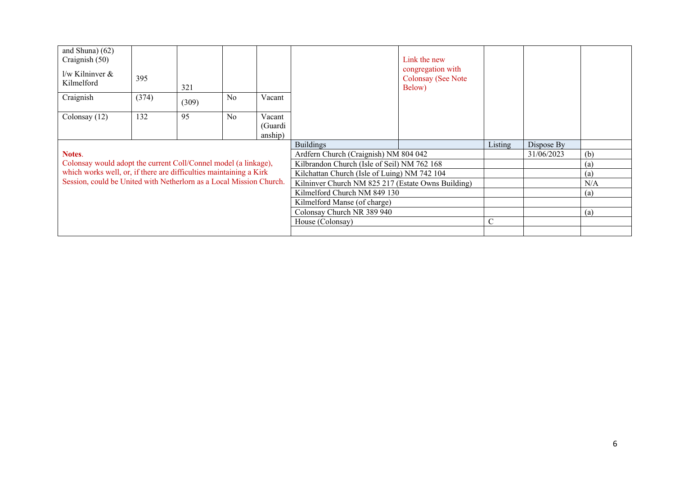| and Shuna) $(62)$<br>Craignish (50)                                 |       |       |    |                              |                                                    | Link the new<br>congregation with   |               |            |                   |
|---------------------------------------------------------------------|-------|-------|----|------------------------------|----------------------------------------------------|-------------------------------------|---------------|------------|-------------------|
| l/w Kilninver &<br>Kilmelford                                       | 395   | 321   |    |                              |                                                    | <b>Colonsay (See Note</b><br>Below) |               |            |                   |
| Craignish                                                           | (374) | (309) | No | Vacant                       |                                                    |                                     |               |            |                   |
| Colonsay (12)                                                       | 132   | 95    | No | Vacant<br>(Guardi<br>anship) |                                                    |                                     |               |            |                   |
|                                                                     |       |       |    |                              | <b>Buildings</b>                                   |                                     | Listing       | Dispose By |                   |
| Notes.                                                              |       |       |    |                              | Ardfern Church (Craignish) NM 804 042              |                                     |               | 31/06/2023 | (b)               |
| Colonsay would adopt the current Coll/Connel model (a linkage),     |       |       |    |                              | Kilbrandon Church (Isle of Seil) NM 762 168        |                                     |               | (a)        |                   |
| which works well, or, if there are difficulties maintaining a Kirk  |       |       |    |                              | Kilchattan Church (Isle of Luing) NM 742 104       |                                     |               |            | (a)               |
| Session, could be United with Netherlorn as a Local Mission Church. |       |       |    |                              | Kilninver Church NM 825 217 (Estate Owns Building) |                                     |               |            | N/A               |
|                                                                     |       |       |    |                              | Kilmelford Church NM 849 130                       |                                     |               |            | $\left( a\right)$ |
|                                                                     |       |       |    |                              | Kilmelford Manse (of charge)                       |                                     |               |            |                   |
|                                                                     |       |       |    |                              | Colonsay Church NR 389 940                         |                                     |               |            | (a)               |
|                                                                     |       |       |    |                              | House (Colonsay)                                   |                                     | $\mathcal{C}$ |            |                   |
|                                                                     |       |       |    |                              |                                                    |                                     |               |            |                   |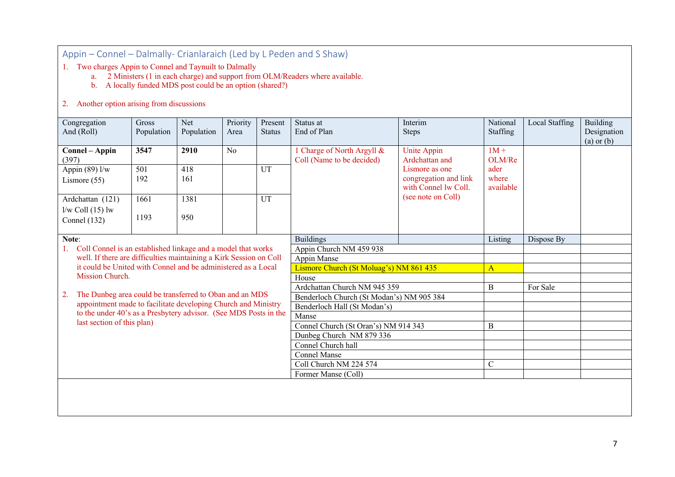Appin – Connel – Dalmally- Crianlaraich (Led by L Peden and S Shaw)

1. Two charges Appin to Connel and Taynuilt to Dalmally

a. 2 Ministers (1 in each charge) and support from OLM/Readers where available.

b. A locally funded MDS post could be an option (shared?)

#### 2. Another option arising from discussions

| Congregation<br>And (Roll)                                         | Gross<br>Population                                          | Net<br>Population | Priority<br>Area | Present<br><b>Status</b> | Status at<br>End of Plan                                | Interim<br><b>Steps</b>       | National<br>Staffing | Local Staffing | <b>Building</b><br>Designation |
|--------------------------------------------------------------------|--------------------------------------------------------------|-------------------|------------------|--------------------------|---------------------------------------------------------|-------------------------------|----------------------|----------------|--------------------------------|
|                                                                    |                                                              |                   |                  |                          |                                                         |                               |                      |                | $(a)$ or $(b)$                 |
| Connel – Appin<br>(397)                                            | 3547                                                         | 2910              | N <sub>o</sub>   |                          | 1 Charge of North Argyll &<br>Coll (Name to be decided) | Unite Appin<br>Ardchattan and | $1M +$<br>OLM/Re     |                |                                |
| Appin (89) $1/\overline{w}$                                        | 501                                                          | 418               |                  | UT                       |                                                         | Lismore as one                | ader                 |                |                                |
| Lismore $(55)$                                                     | 192                                                          | 161               |                  |                          |                                                         | congregation and link         | where                |                |                                |
|                                                                    |                                                              |                   |                  |                          |                                                         | with Connel lw Coll.          | available            |                |                                |
| Ardchattan (121)                                                   | 1661                                                         | 1381              |                  | UT                       |                                                         | (see note on Coll)            |                      |                |                                |
| $1/w$ Coll $(15)$ lw                                               |                                                              |                   |                  |                          |                                                         |                               |                      |                |                                |
| Connel $(132)$                                                     | 1193                                                         | 950               |                  |                          |                                                         |                               |                      |                |                                |
|                                                                    |                                                              |                   |                  |                          |                                                         |                               |                      |                |                                |
| Note:                                                              |                                                              |                   |                  |                          | <b>Buildings</b>                                        |                               | Listing              | Dispose By     |                                |
| 1.                                                                 | Coll Connel is an established linkage and a model that works |                   |                  |                          | Appin Church NM 459 938                                 |                               |                      |                |                                |
| well. If there are difficulties maintaining a Kirk Session on Coll |                                                              |                   |                  |                          | Appin Manse                                             |                               |                      |                |                                |
| it could be United with Connel and be administered as a Local      |                                                              |                   |                  |                          | Lismore Church (St Moluag's) NM 861 435                 |                               | $\overline{A}$       |                |                                |
| Mission Church.                                                    |                                                              |                   |                  |                          | House                                                   |                               |                      |                |                                |
| The Dunbeg area could be transferred to Oban and an MDS<br>2.      |                                                              |                   |                  |                          | Ardchattan Church NM 945 359                            |                               | B                    | For Sale       |                                |
| appointment made to facilitate developing Church and Ministry      |                                                              |                   |                  |                          | Benderloch Church (St Modan's) NM 905 384               |                               |                      |                |                                |
| to the under 40's as a Presbytery advisor. (See MDS Posts in the   |                                                              |                   |                  |                          | Benderloch Hall (St Modan's)<br>Manse                   |                               |                      |                |                                |
| last section of this plan)                                         |                                                              |                   |                  |                          | Connel Church (St Oran's) NM 914 343                    |                               | B                    |                |                                |
|                                                                    |                                                              |                   |                  |                          | Dunbeg Church NM 879 336                                |                               |                      |                |                                |
|                                                                    |                                                              |                   |                  |                          | Connel Church hall                                      |                               |                      |                |                                |
|                                                                    |                                                              |                   |                  |                          | <b>Connel Manse</b>                                     |                               |                      |                |                                |
|                                                                    |                                                              |                   |                  |                          | Coll Church NM 224 574                                  |                               | $\mathbf C$          |                |                                |
|                                                                    |                                                              |                   |                  |                          | Former Manse (Coll)                                     |                               |                      |                |                                |
|                                                                    |                                                              |                   |                  |                          |                                                         |                               |                      |                |                                |
|                                                                    |                                                              |                   |                  |                          |                                                         |                               |                      |                |                                |
|                                                                    |                                                              |                   |                  |                          |                                                         |                               |                      |                |                                |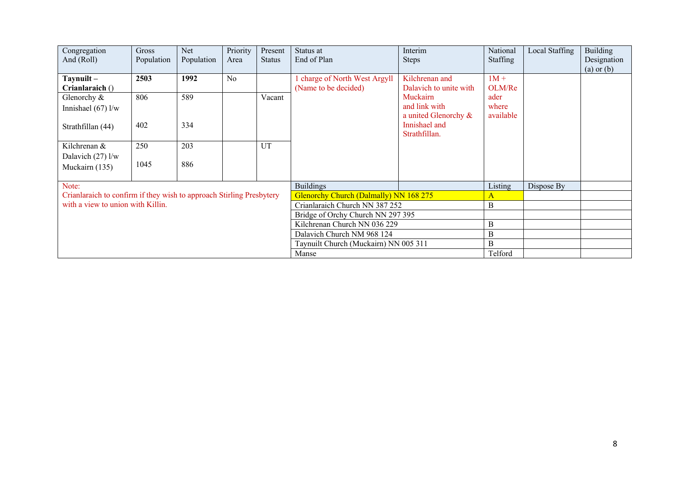| Congregation<br>And (Roll)                                           | Gross<br>Population | Net.<br>Population | Priority<br>Area | Present<br><b>Status</b> | Status at<br>End of Plan                            | Interim<br><b>Steps</b>                           | National<br>Staffing       | Local Staffing | <b>Building</b><br>Designation<br>$(a)$ or $(b)$ |
|----------------------------------------------------------------------|---------------------|--------------------|------------------|--------------------------|-----------------------------------------------------|---------------------------------------------------|----------------------------|----------------|--------------------------------------------------|
| $Taynuilt -$<br>Crianlaraich ()                                      | 2503                | 1992               | N <sub>o</sub>   |                          | charge of North West Argyll<br>(Name to be decided) | Kilchrenan and<br>Dalavich to unite with          | $1M +$<br>OLM/Re           |                |                                                  |
| Glenorchy &<br>Innishael $(67)$ l/w                                  | 806                 | 589                |                  | Vacant                   |                                                     | Muckairn<br>and link with<br>a united Glenorchy & | ader<br>where<br>available |                |                                                  |
| Strathfillan (44)                                                    | 402                 | 334                |                  |                          |                                                     | Innishael and<br>Strathfillan.                    |                            |                |                                                  |
| Kilchrenan &                                                         | 250                 | 203                |                  | UT                       |                                                     |                                                   |                            |                |                                                  |
| Dalavich $(27)$ l/w<br>Muckairn (135)                                | 1045                | 886                |                  |                          |                                                     |                                                   |                            |                |                                                  |
| Note:                                                                |                     |                    |                  |                          | <b>Buildings</b>                                    |                                                   | Listing                    | Dispose By     |                                                  |
| Crianlaraich to confirm if they wish to approach Stirling Presbytery |                     |                    |                  |                          | Glenorchy Church (Dalmally) NN 168 275              |                                                   | Α                          |                |                                                  |
| with a view to union with Killin.                                    |                     |                    |                  |                          | Crianlaraich Church NN 387 252                      |                                                   | $\bf{B}$                   |                |                                                  |
|                                                                      |                     |                    |                  |                          | Bridge of Orchy Church NN 297 395                   |                                                   |                            |                |                                                  |
|                                                                      |                     |                    |                  |                          | Kilchrenan Church NN 036 229                        |                                                   | B                          |                |                                                  |
|                                                                      |                     |                    |                  |                          | Dalavich Church NM 968 124                          |                                                   | $\mathbf B$                |                |                                                  |
|                                                                      |                     |                    |                  |                          | Taynuilt Church (Muckairn) NN 005 311               |                                                   | B                          |                |                                                  |
|                                                                      |                     |                    |                  |                          | Manse                                               |                                                   | Telford                    |                |                                                  |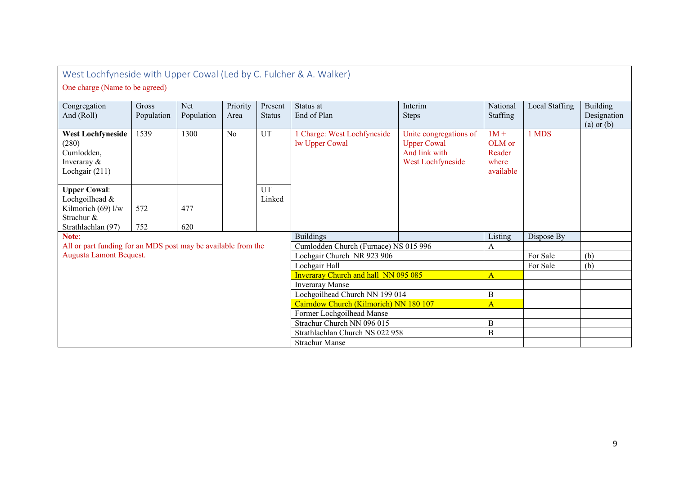| West Lochfyneside with Upper Cowal (Led by C. Fulcher & A. Walker)<br>One charge (Name to be agreed) |                     |                   |                  |                            |                                                    |                                                                                    |                                                  |                |                                           |  |  |  |
|------------------------------------------------------------------------------------------------------|---------------------|-------------------|------------------|----------------------------|----------------------------------------------------|------------------------------------------------------------------------------------|--------------------------------------------------|----------------|-------------------------------------------|--|--|--|
| Congregation<br>And (Roll)                                                                           | Gross<br>Population | Net<br>Population | Priority<br>Area | Present<br><b>Status</b>   | Status at<br>End of Plan                           | Interim<br><b>Steps</b>                                                            | National<br>Staffing                             | Local Staffing | Building<br>Designation<br>$(a)$ or $(b)$ |  |  |  |
| <b>West Lochfyneside</b><br>(280)<br>Cumlodden,<br>Inveraray &<br>Lochgair (211)                     | 1539                | 1300              | No               | UT                         | <b>Charge: West Lochfyneside</b><br>lw Upper Cowal | Unite congregations of<br><b>Upper Cowal</b><br>And link with<br>West Lochfyneside | $1M +$<br>OLM or<br>Reader<br>where<br>available | 1 MDS          |                                           |  |  |  |
| <b>Upper Cowal:</b><br>Lochgoilhead &<br>Kilmorich $(69)$ l/w<br>Strachur &<br>Strathlachlan (97)    | 572<br>752          | 477<br>620        |                  | UT<br>Linked               |                                                    |                                                                                    |                                                  |                |                                           |  |  |  |
| Note:                                                                                                |                     |                   |                  |                            | <b>Buildings</b>                                   |                                                                                    | Listing                                          | Dispose By     |                                           |  |  |  |
| All or part funding for an MDS post may be available from the                                        |                     |                   |                  |                            | Cumlodden Church (Furnace) NS 015 996              |                                                                                    | A                                                |                |                                           |  |  |  |
| Augusta Lamont Bequest.                                                                              |                     |                   |                  |                            | Lochgair Church NR 923 906                         |                                                                                    |                                                  | For Sale       | (b)                                       |  |  |  |
|                                                                                                      |                     |                   |                  |                            | Lochgair Hall                                      |                                                                                    |                                                  | For Sale       | (b)                                       |  |  |  |
|                                                                                                      |                     |                   |                  |                            | <b>Inveraray Church and hall NN 095 085</b>        |                                                                                    | $\mathbf{A}$                                     |                |                                           |  |  |  |
|                                                                                                      |                     |                   |                  |                            | <b>Inveraray Manse</b>                             |                                                                                    |                                                  |                |                                           |  |  |  |
|                                                                                                      |                     |                   |                  |                            | Lochgoilhead Church NN 199 014                     |                                                                                    | $\, {\bf B}$                                     |                |                                           |  |  |  |
|                                                                                                      |                     |                   |                  |                            | Cairndow Church (Kilmorich) NN 180 107             |                                                                                    | $\mathbf{A}$                                     |                |                                           |  |  |  |
|                                                                                                      |                     |                   |                  | Former Lochgoilhead Manse  |                                                    |                                                                                    |                                                  |                |                                           |  |  |  |
|                                                                                                      |                     |                   |                  | Strachur Church NN 096 015 |                                                    | $\boldsymbol{B}$                                                                   |                                                  |                |                                           |  |  |  |
|                                                                                                      |                     |                   |                  |                            | Strathlachlan Church NS 022 958                    | $\boldsymbol{B}$                                                                   |                                                  |                |                                           |  |  |  |
|                                                                                                      |                     |                   |                  |                            | <b>Strachur Manse</b>                              |                                                                                    |                                                  |                |                                           |  |  |  |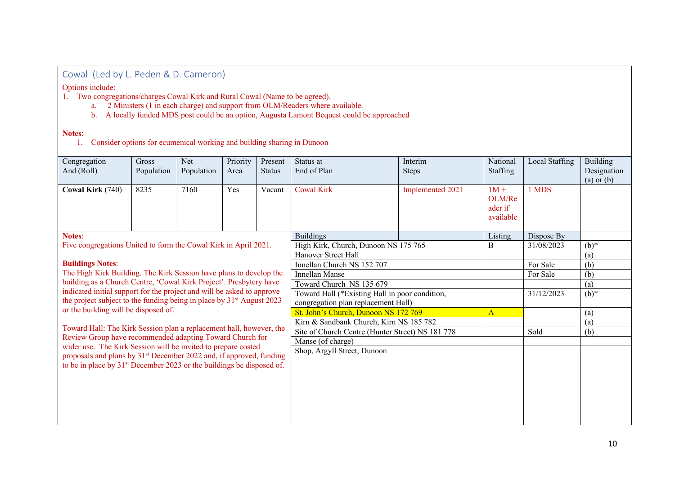Cowal (Led by L. Peden & D. Cameron)

Options include:

- 1. Two congregations/charges Cowal Kirk and Rural Cowal (Name to be agreed).
	- a. 2 Ministers (1 in each charge) and support from OLM/Readers where available.
	- b. A locally funded MDS post could be an option, Augusta Lamont Bequest could be approached

#### **Notes**:

1. Consider options for ecumenical working and building sharing in Dunoon

| Congregation<br>And (Roll)                                                                                                                                           | <b>Gross</b><br>Population | <b>Net</b><br>Population | Priority<br>Area | Present<br><b>Status</b> | Status at<br>End of Plan                         | Interim<br>Steps | National<br>Staffing                     | Local Staffing | Building<br>Designation<br>$(a)$ or $(b)$ |
|----------------------------------------------------------------------------------------------------------------------------------------------------------------------|----------------------------|--------------------------|------------------|--------------------------|--------------------------------------------------|------------------|------------------------------------------|----------------|-------------------------------------------|
| Cowal Kirk (740)                                                                                                                                                     | 8235                       | 7160                     | Yes              | Vacant                   | <b>Cowal Kirk</b>                                | Implemented 2021 | $1M +$<br>OLM/Re<br>ader if<br>available | 1 MDS          |                                           |
| <b>Notes:</b>                                                                                                                                                        |                            |                          |                  |                          | <b>Buildings</b>                                 |                  | Listing                                  | Dispose By     |                                           |
| Five congregations United to form the Cowal Kirk in April 2021.                                                                                                      |                            |                          |                  |                          | High Kirk, Church, Dunoon NS 175 765             |                  | B                                        | 31/08/2023     | $(b)*$                                    |
|                                                                                                                                                                      |                            |                          |                  |                          | Hanover Street Hall                              |                  |                                          |                | (a)                                       |
| <b>Buildings Notes:</b>                                                                                                                                              |                            |                          |                  |                          | Innellan Church NS 152 707                       |                  |                                          | For Sale       | (b)                                       |
| The High Kirk Building. The Kirk Session have plans to develop the                                                                                                   |                            |                          |                  |                          | <b>Innellan Manse</b>                            |                  |                                          | For Sale       | (b)                                       |
| building as a Church Centre, 'Cowal Kirk Project'. Presbytery have                                                                                                   |                            |                          |                  |                          | Toward Church NS 135 679                         |                  |                                          |                | (a)                                       |
| indicated initial support for the project and will be asked to approve                                                                                               |                            |                          |                  |                          | Toward Hall (*Existing Hall in poor condition,   |                  |                                          | 31/12/2023     | $(b)*$                                    |
| the project subject to the funding being in place by 31 <sup>st</sup> August 2023<br>or the building will be disposed of.                                            |                            |                          |                  |                          | congregation plan replacement Hall)              |                  |                                          |                |                                           |
|                                                                                                                                                                      |                            |                          |                  |                          | St. John's Church, Dunoon NS 172 769             | A                |                                          | (a)            |                                           |
| Toward Hall: The Kirk Session plan a replacement hall, however, the                                                                                                  |                            |                          |                  |                          | Kirn & Sandbank Church, Kirn NS 185 782          |                  |                                          |                | (a)                                       |
| Review Group have recommended adapting Toward Church for                                                                                                             |                            |                          |                  |                          | Site of Church Centre (Hunter Street) NS 181 778 |                  |                                          | Sold           | (b)                                       |
| wider use. The Kirk Session will be invited to prepare costed                                                                                                        |                            |                          |                  |                          | Manse (of charge)                                |                  |                                          |                |                                           |
| proposals and plans by 31 <sup>st</sup> December 2022 and, if approved, funding<br>to be in place by 31 <sup>st</sup> December 2023 or the buildings be disposed of. |                            |                          |                  |                          | Shop, Argyll Street, Dunoon                      |                  |                                          |                |                                           |
|                                                                                                                                                                      |                            |                          |                  |                          |                                                  |                  |                                          |                |                                           |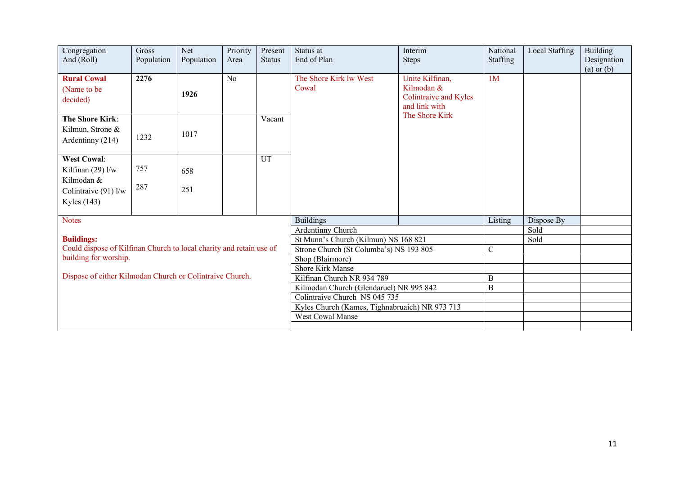| Congregation<br>And (Roll)                                                                       | Gross<br>Population | Net<br>Population | Priority<br>Area | Present<br><b>Status</b> | Status at<br>End of Plan                       | Interim<br><b>Steps</b>                                                 | National<br>Staffing | Local Staffing | Building<br>Designation<br>$(a)$ or $(b)$ |
|--------------------------------------------------------------------------------------------------|---------------------|-------------------|------------------|--------------------------|------------------------------------------------|-------------------------------------------------------------------------|----------------------|----------------|-------------------------------------------|
| <b>Rural Cowal</b><br>(Name to be<br>decided)                                                    | 2276                | 1926              | N <sub>o</sub>   |                          | The Shore Kirk lw West<br>Cowal                | Unite Kilfinan,<br>Kilmodan &<br>Colintraive and Kyles<br>and link with | 1 <sub>M</sub>       |                |                                           |
| <b>The Shore Kirk:</b><br>Kilmun, Strone &<br>Ardentinny (214)                                   | 1232                | 1017              |                  | Vacant                   |                                                | The Shore Kirk                                                          |                      |                |                                           |
| <b>West Cowal:</b><br>Kilfinan $(29)$ l/w<br>Kilmodan &<br>Colintraive (91) l/w<br>Kyles $(143)$ | 757<br>287          | 658<br>251        |                  | UT                       |                                                |                                                                         |                      |                |                                           |
| <b>Notes</b>                                                                                     |                     |                   |                  |                          | <b>Buildings</b>                               |                                                                         | Listing              | Dispose By     |                                           |
|                                                                                                  |                     |                   |                  |                          | Ardentinny Church                              |                                                                         |                      | Sold           |                                           |
| <b>Buildings:</b>                                                                                |                     |                   |                  |                          | St Munn's Church (Kilmun) NS 168 821           |                                                                         |                      | Sold           |                                           |
| Could dispose of Kilfinan Church to local charity and retain use of<br>building for worship.     |                     |                   |                  |                          | Strone Church (St Columba's) NS 193 805        |                                                                         | $\mathbf C$          |                |                                           |
|                                                                                                  |                     |                   |                  |                          | Shop (Blairmore)                               |                                                                         |                      |                |                                           |
| Dispose of either Kilmodan Church or Colintraive Church.                                         |                     |                   |                  |                          | Shore Kirk Manse<br>Kilfinan Church NR 934 789 |                                                                         | $\, {\bf B}$         |                |                                           |
|                                                                                                  |                     |                   |                  |                          | Kilmodan Church (Glendaruel) NR 995 842        |                                                                         | $\bf{B}$             |                |                                           |
|                                                                                                  |                     |                   |                  |                          | Colintraive Church NS 045 735                  |                                                                         |                      |                |                                           |
|                                                                                                  |                     |                   |                  |                          | Kyles Church (Kames, Tighnabruaich) NR 973 713 |                                                                         |                      |                |                                           |
|                                                                                                  |                     |                   |                  |                          | West Cowal Manse                               |                                                                         |                      |                |                                           |
|                                                                                                  |                     |                   |                  |                          |                                                |                                                                         |                      |                |                                           |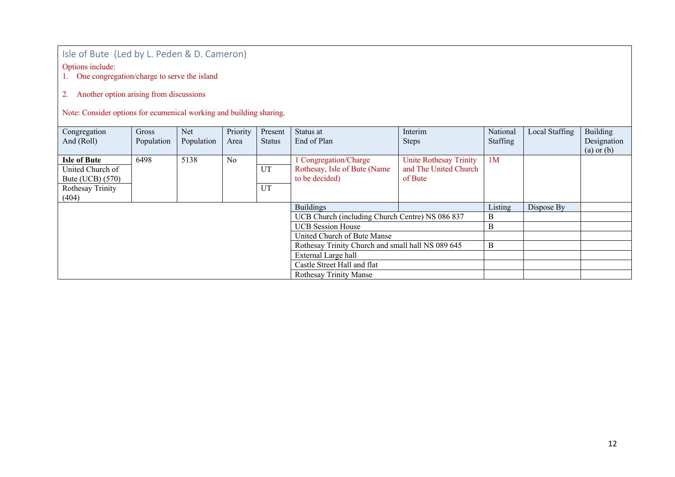## Isle of Bute (Led by L. Peden & D. Cameron)

Options include:

1. One congregation/charge to serve the island

### 2. Another option arising from discussions

Note: Consider options for ecumenical working and building sharing.

| Congregation        | Gross      | Net        | Priority | Present       | Status at                                         | Interim                | National       | Local Staffing | Building       |
|---------------------|------------|------------|----------|---------------|---------------------------------------------------|------------------------|----------------|----------------|----------------|
| And (Roll)          | Population | Population | Area     | <b>Status</b> | End of Plan                                       | <b>Steps</b>           | Staffing       |                | Designation    |
|                     |            |            |          |               |                                                   |                        |                |                | $(a)$ or $(b)$ |
| <b>Isle of Bute</b> | 6498       | 5138       | No       |               | 1 Congregation/Charge                             | Unite Rothesay Trinity | 1 <sub>M</sub> |                |                |
| United Church of    |            |            |          | UT            | Rothesay, Isle of Bute (Name)                     | and The United Church  |                |                |                |
| Bute (UCB) (570)    |            |            |          |               | to be decided)                                    | of Bute                |                |                |                |
| Rothesay Trinity    |            |            |          | UT            |                                                   |                        |                |                |                |
| (404)               |            |            |          |               |                                                   |                        |                |                |                |
|                     |            |            |          |               | <b>Buildings</b>                                  |                        | Listing        | Dispose By     |                |
|                     |            |            |          |               | UCB Church (including Church Centre) NS 086 837   |                        | B              |                |                |
|                     |            |            |          |               | <b>UCB</b> Session House                          |                        | B              |                |                |
|                     |            |            |          |               | United Church of Bute Manse                       |                        |                |                |                |
|                     |            |            |          |               | Rothesay Trinity Church and small hall NS 089 645 |                        | B              |                |                |
|                     |            |            |          |               | External Large hall                               |                        |                |                |                |
|                     |            |            |          |               | Castle Street Hall and flat                       |                        |                |                |                |
|                     |            |            |          |               | <b>Rothesay Trinity Manse</b>                     |                        |                |                |                |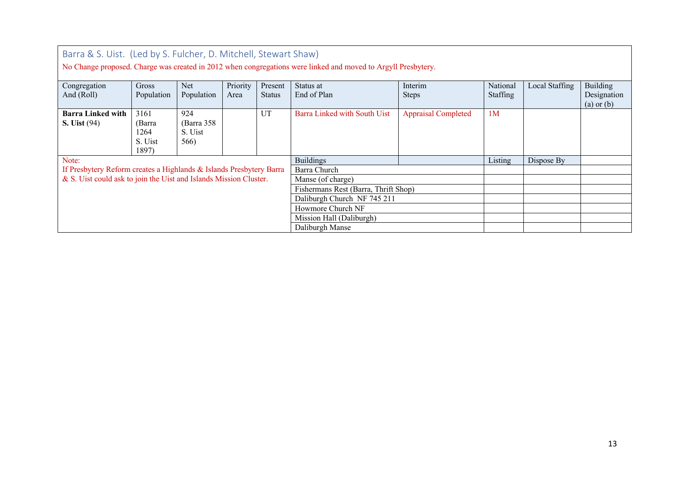| Barra & S. Uist. (Led by S. Fulcher, D. Mitchell, Stewart Shaw)                                               |            |            |          |               |                                      |                            |                |                |                               |  |
|---------------------------------------------------------------------------------------------------------------|------------|------------|----------|---------------|--------------------------------------|----------------------------|----------------|----------------|-------------------------------|--|
| No Change proposed. Charge was created in 2012 when congregations were linked and moved to Argyll Presbytery. |            |            |          |               |                                      |                            |                |                |                               |  |
| Congregation                                                                                                  | Gross      | <b>Net</b> | Priority | Present       | Status at                            | Interim                    | National       | Local Staffing | Building                      |  |
| And (Roll)                                                                                                    | Population | Population | Area     | <b>Status</b> | End of Plan                          | <b>Steps</b>               | Staffing       |                | Designation<br>$(a)$ or $(b)$ |  |
| <b>Barra Linked with</b>                                                                                      | 3161       | 924        |          | UT            | Barra Linked with South Uist         | <b>Appraisal Completed</b> | 1 <sub>M</sub> |                |                               |  |
| <b>S. Uist (94)</b>                                                                                           | (Barra     | (Barra 358 |          |               |                                      |                            |                |                |                               |  |
|                                                                                                               | 1264       | S. Uist    |          |               |                                      |                            |                |                |                               |  |
|                                                                                                               | S. Uist    | 566)       |          |               |                                      |                            |                |                |                               |  |
|                                                                                                               | 1897)      |            |          |               |                                      |                            |                |                |                               |  |
| Note:                                                                                                         |            |            |          |               | <b>Buildings</b>                     |                            | Listing        | Dispose By     |                               |  |
| If Presbytery Reform creates a Highlands & Islands Presbytery Barra                                           |            |            |          |               | Barra Church                         |                            |                |                |                               |  |
| & S. Uist could ask to join the Uist and Islands Mission Cluster.                                             |            |            |          |               | Manse (of charge)                    |                            |                |                |                               |  |
|                                                                                                               |            |            |          |               | Fishermans Rest (Barra, Thrift Shop) |                            |                |                |                               |  |
|                                                                                                               |            |            |          |               | Daliburgh Church NF 745 211          |                            |                |                |                               |  |
|                                                                                                               |            |            |          |               | Howmore Church NF                    |                            |                |                |                               |  |
|                                                                                                               |            |            |          |               | Mission Hall (Daliburgh)             |                            |                |                |                               |  |
|                                                                                                               |            |            |          |               | Daliburgh Manse                      |                            |                |                |                               |  |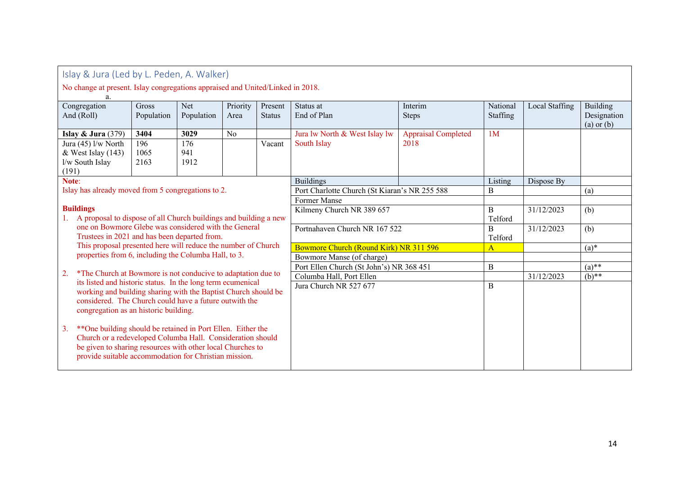| Islay & Jura (Led by L. Peden, A. Walker)                                                                                                                                                                                                               |                                                                       |                     |                    |                  |                          |                                               |                            |                        |                |                                           |
|---------------------------------------------------------------------------------------------------------------------------------------------------------------------------------------------------------------------------------------------------------|-----------------------------------------------------------------------|---------------------|--------------------|------------------|--------------------------|-----------------------------------------------|----------------------------|------------------------|----------------|-------------------------------------------|
| No change at present. Islay congregations appraised and United/Linked in 2018.                                                                                                                                                                          |                                                                       |                     |                    |                  |                          |                                               |                            |                        |                |                                           |
|                                                                                                                                                                                                                                                         | Congregation<br>And (Roll)                                            | Gross<br>Population | Net<br>Population  | Priority<br>Area | Present<br><b>Status</b> | Status at<br>End of Plan                      | Interim<br><b>Steps</b>    | National<br>Staffing   | Local Staffing | Building<br>Designation<br>$(a)$ or $(b)$ |
|                                                                                                                                                                                                                                                         | Islay $& Jura (379)$                                                  | 3404                | 3029               | N <sub>o</sub>   |                          | Jura lw North & West Islay lw                 | <b>Appraisal Completed</b> | 1M                     |                |                                           |
|                                                                                                                                                                                                                                                         | Jura (45) l/w North<br>& West Islay (143)<br>l/w South Islay<br>(191) | 196<br>1065<br>2163 | 176<br>941<br>1912 |                  | Vacant                   | South Islay                                   | 2018                       |                        |                |                                           |
| Note:                                                                                                                                                                                                                                                   |                                                                       |                     |                    |                  |                          | <b>Buildings</b>                              |                            | Listing                | Dispose By     |                                           |
| Islay has already moved from 5 congregations to 2.                                                                                                                                                                                                      |                                                                       |                     |                    |                  |                          | Port Charlotte Church (St Kiaran's NR 255 588 | B                          |                        | (a)            |                                           |
|                                                                                                                                                                                                                                                         |                                                                       |                     |                    | Former Manse     |                          |                                               |                            |                        |                |                                           |
| <b>Buildings</b><br>A proposal to dispose of all Church buildings and building a new<br>1.                                                                                                                                                              |                                                                       |                     |                    |                  |                          | Kilmeny Church NR 389 657                     | B<br>Telford               | 31/12/2023             | (b)            |                                           |
| one on Bowmore Glebe was considered with the General<br>Trustees in 2021 and has been departed from.                                                                                                                                                    |                                                                       |                     |                    |                  |                          | Portnahaven Church NR 167 522                 |                            | $\mathbf B$<br>Telford | 31/12/2023     | (b)                                       |
| This proposal presented here will reduce the number of Church                                                                                                                                                                                           |                                                                       |                     |                    |                  |                          | Bowmore Church (Round Kirk) NR 311 596        |                            | $\overline{A}$         |                | $(a)$ *                                   |
| properties from 6, including the Columba Hall, to 3.                                                                                                                                                                                                    |                                                                       |                     |                    |                  |                          | Bowmore Manse (of charge)                     |                            |                        |                |                                           |
|                                                                                                                                                                                                                                                         |                                                                       |                     |                    |                  |                          | Port Ellen Church (St John's) NR 368 451      |                            | $\bf{B}$               |                | $(a)$ **                                  |
| *The Church at Bowmore is not conducive to adaptation due to<br>2.                                                                                                                                                                                      |                                                                       |                     |                    |                  |                          | Columba Hall, Port Ellen                      |                            | 31/12/2023             | $(b)$ **       |                                           |
| its listed and historic status. In the long term ecumenical<br>working and building sharing with the Baptist Church should be<br>considered. The Church could have a future outwith the<br>congregation as an historic building.                        |                                                                       |                     |                    |                  |                          | Jura Church NR 527 677                        |                            | $\, {\bf B}$           |                |                                           |
| ** One building should be retained in Port Ellen. Either the<br>3.<br>Church or a redeveloped Columba Hall. Consideration should<br>be given to sharing resources with other local Churches to<br>provide suitable accommodation for Christian mission. |                                                                       |                     |                    |                  |                          |                                               |                            |                        |                |                                           |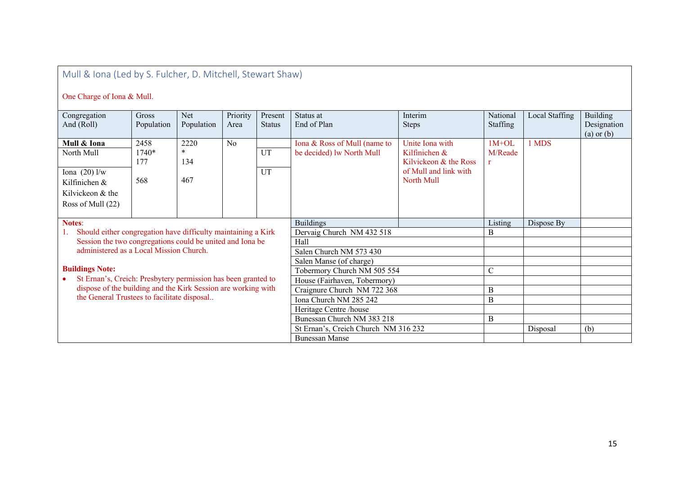# Mull & Iona (Led by S. Fulcher, D. Mitchell, Stewart Shaw)

## One Charge of Iona & Mull.

| Congregation<br>And (Roll)                                                                                   | Gross<br>Population         | Net<br>Population            | Priority<br>Area        | Present<br><b>Status</b> | Status at<br>End of Plan                                  | Interim<br><b>Steps</b>                                                                          | National<br>Staffing    | Local Staffing | Building<br>Designation<br>$(a)$ or $(b)$ |
|--------------------------------------------------------------------------------------------------------------|-----------------------------|------------------------------|-------------------------|--------------------------|-----------------------------------------------------------|--------------------------------------------------------------------------------------------------|-------------------------|----------------|-------------------------------------------|
| Mull & Iona<br>North Mull<br>Iona $(20)$ l/w<br>Kilfinichen &<br>Kilvickeon & the                            | 2458<br>1740*<br>177<br>568 | 2220<br>$\ast$<br>134<br>467 | N <sub>o</sub>          | UT<br>UT                 | Iona & Ross of Mull (name to<br>be decided) lw North Mull | Unite Iona with<br>Kilfinichen &<br>Kilvickeon & the Ross<br>of Mull and link with<br>North Mull | $1M+OL$<br>M/Reade<br>r | 1 MDS          |                                           |
| Ross of Mull (22)                                                                                            |                             |                              |                         |                          |                                                           |                                                                                                  |                         |                |                                           |
| <b>Notes:</b>                                                                                                |                             |                              |                         |                          | <b>Buildings</b>                                          |                                                                                                  | Listing                 | Dispose By     |                                           |
| Should either congregation have difficulty maintaining a Kirk                                                |                             |                              |                         |                          | Dervaig Church NM 432 518                                 |                                                                                                  | B                       |                |                                           |
| Session the two congregations could be united and Iona be                                                    |                             |                              |                         |                          | Hall                                                      |                                                                                                  |                         |                |                                           |
| administered as a Local Mission Church.                                                                      |                             |                              | Salen Church NM 573 430 |                          |                                                           |                                                                                                  |                         |                |                                           |
|                                                                                                              |                             |                              |                         | Salen Manse (of charge)  |                                                           |                                                                                                  |                         |                |                                           |
| <b>Buildings Note:</b>                                                                                       |                             |                              |                         |                          | Tobermory Church NM 505 554                               |                                                                                                  | $\overline{C}$          |                |                                           |
| St Ernan's, Creich: Presbytery permission has been granted to                                                |                             |                              |                         |                          | House (Fairhaven, Tobermory)                              |                                                                                                  |                         |                |                                           |
| dispose of the building and the Kirk Session are working with<br>the General Trustees to facilitate disposal |                             |                              |                         |                          | Craignure Church NM 722 368                               |                                                                                                  | B                       |                |                                           |
|                                                                                                              |                             |                              |                         |                          | Iona Church NM 285 242                                    |                                                                                                  | B                       |                |                                           |
|                                                                                                              |                             |                              |                         |                          | Heritage Centre /house                                    |                                                                                                  |                         |                |                                           |
|                                                                                                              |                             |                              |                         |                          | Bunessan Church NM 383 218                                |                                                                                                  | B                       |                |                                           |
|                                                                                                              |                             |                              |                         |                          | St Ernan's, Creich Church NM 316 232                      |                                                                                                  |                         | Disposal       | (b)                                       |
| <b>Bunessan Manse</b>                                                                                        |                             |                              |                         |                          |                                                           |                                                                                                  |                         |                |                                           |